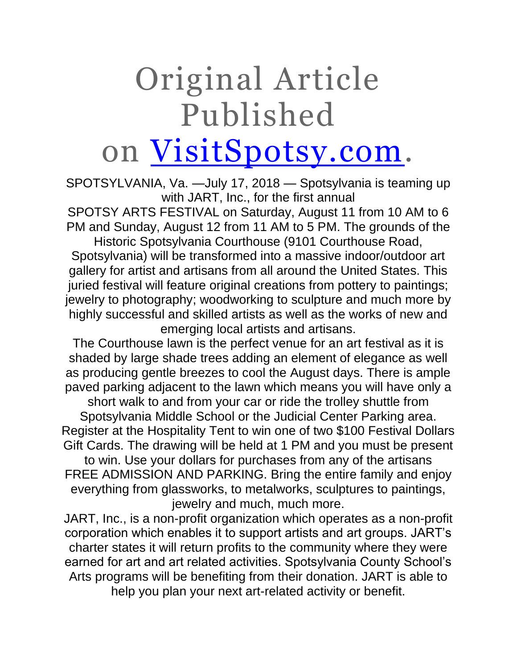## Original Article Published on [VisitSpotsy.com.](https://visitspotsy.com/)

SPOTSYLVANIA, Va. —July 17, 2018 — Spotsylvania is teaming up with JART, Inc., for the first annual

SPOTSY ARTS FESTIVAL on Saturday, August 11 from 10 AM to 6 PM and Sunday, August 12 from 11 AM to 5 PM. The grounds of the

Historic Spotsylvania Courthouse (9101 Courthouse Road, Spotsylvania) will be transformed into a massive indoor/outdoor art gallery for artist and artisans from all around the United States. This juried festival will feature original creations from pottery to paintings; jewelry to photography; woodworking to sculpture and much more by highly successful and skilled artists as well as the works of new and emerging local artists and artisans.

The Courthouse lawn is the perfect venue for an art festival as it is shaded by large shade trees adding an element of elegance as well as producing gentle breezes to cool the August days. There is ample paved parking adjacent to the lawn which means you will have only a short walk to and from your car or ride the trolley shuttle from Spotsylvania Middle School or the Judicial Center Parking area.

Register at the Hospitality Tent to win one of two \$100 Festival Dollars Gift Cards. The drawing will be held at 1 PM and you must be present

to win. Use your dollars for purchases from any of the artisans FREE ADMISSION AND PARKING. Bring the entire family and enjoy everything from glassworks, to metalworks, sculptures to paintings, jewelry and much, much more.

JART, Inc., is a non-profit organization which operates as a non-profit corporation which enables it to support artists and art groups. JART's charter states it will return profits to the community where they were earned for art and art related activities. Spotsylvania County School's Arts programs will be benefiting from their donation. JART is able to help you plan your next art-related activity or benefit.